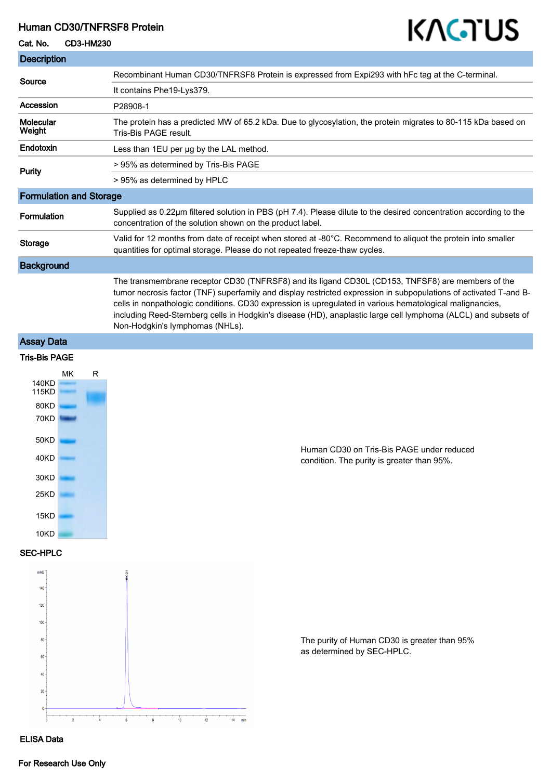### Human CD30/TNFRSF8 Protein

#### Cat. No. CD3-HM230

# KAGTUS

| <b>Description</b>                                                                                           |                                                                                                                                                                                                                                                                                                                                                                                                                                                                                         |
|--------------------------------------------------------------------------------------------------------------|-----------------------------------------------------------------------------------------------------------------------------------------------------------------------------------------------------------------------------------------------------------------------------------------------------------------------------------------------------------------------------------------------------------------------------------------------------------------------------------------|
| Source                                                                                                       | Recombinant Human CD30/TNFRSF8 Protein is expressed from Expi293 with hFc tag at the C-terminal.                                                                                                                                                                                                                                                                                                                                                                                        |
|                                                                                                              | It contains Phe19-Lys379.                                                                                                                                                                                                                                                                                                                                                                                                                                                               |
| <b>Accession</b>                                                                                             | P28908-1                                                                                                                                                                                                                                                                                                                                                                                                                                                                                |
| <b>Molecular</b><br>Weight                                                                                   | The protein has a predicted MW of 65.2 kDa. Due to glycosylation, the protein migrates to 80-115 kDa based on<br>Tris-Bis PAGE result.                                                                                                                                                                                                                                                                                                                                                  |
| Endotoxin                                                                                                    | Less than 1EU per ug by the LAL method.                                                                                                                                                                                                                                                                                                                                                                                                                                                 |
| <b>Purity</b>                                                                                                | > 95% as determined by Tris-Bis PAGE                                                                                                                                                                                                                                                                                                                                                                                                                                                    |
|                                                                                                              | > 95% as determined by HPLC                                                                                                                                                                                                                                                                                                                                                                                                                                                             |
| <b>Formulation and Storage</b>                                                                               |                                                                                                                                                                                                                                                                                                                                                                                                                                                                                         |
| Formulation                                                                                                  | Supplied as 0.22µm filtered solution in PBS (pH 7.4). Please dilute to the desired concentration according to the<br>concentration of the solution shown on the product label.                                                                                                                                                                                                                                                                                                          |
| <b>Storage</b>                                                                                               | Valid for 12 months from date of receipt when stored at -80°C. Recommend to aliquot the protein into smaller<br>quantities for optimal storage. Please do not repeated freeze-thaw cycles.                                                                                                                                                                                                                                                                                              |
| <b>Background</b>                                                                                            |                                                                                                                                                                                                                                                                                                                                                                                                                                                                                         |
|                                                                                                              | The transmembrane receptor CD30 (TNFRSF8) and its ligand CD30L (CD153, TNFSF8) are members of the<br>tumor necrosis factor (TNF) superfamily and display restricted expression in subpopulations of activated T-and B-<br>cells in nonpathologic conditions. CD30 expression is upregulated in various hematological malignancies,<br>including Reed-Sternberg cells in Hodgkin's disease (HD), anaplastic large cell lymphoma (ALCL) and subsets of<br>Non-Hodgkin's lymphomas (NHLs). |
| <b>Assay Data</b>                                                                                            |                                                                                                                                                                                                                                                                                                                                                                                                                                                                                         |
| <b>Tris-Bis PAGE</b>                                                                                         |                                                                                                                                                                                                                                                                                                                                                                                                                                                                                         |
| МK<br>R<br>140KD<br>115KD<br>80KD<br>70KD<br>50KD<br>40KD<br>30KD<br>25KD<br>15KD<br>10KD<br><b>SEC-HPLC</b> | Human CD30 on Tris-Bis PAGE under reduced<br>condition. The purity is greater than 95%.                                                                                                                                                                                                                                                                                                                                                                                                 |
| mAU<br>140<br>120<br>100<br>80<br>60<br>20<br><b>ELISA Data</b>                                              | The purity of Human CD30 is greater than 95%<br>as determined by SEC-HPLC.<br>$14 -$                                                                                                                                                                                                                                                                                                                                                                                                    |